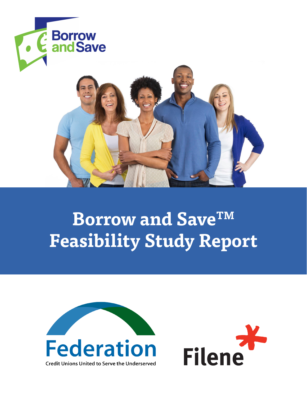

# **Borrow and SaveTM Feasibility Study Report**

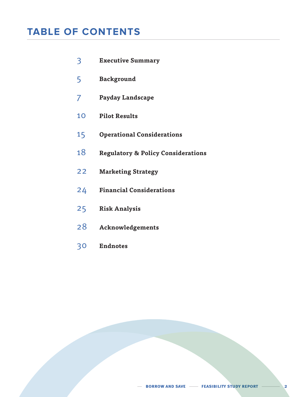## **TABLE OF CONTENTS**

- **Executive Summary**
- **Background**
- **Payday Landscape**
- **Pilot Results**
- **Operational Considerations**
- **Regulatory & Policy Considerations**
- **Marketing Strategy**
- **Financial Considerations**
- **Risk Analysis**
- **Acknowledgements**
- **Endnotes**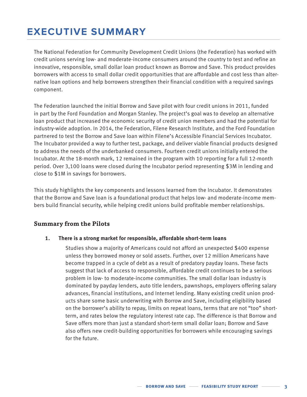## **EXECUTIVE SUMMARY**

The National Federation for Community Development Credit Unions (the Federation) has worked with credit unions serving low- and moderate-income consumers around the country to test and refine an innovative, responsible, small dollar loan product known as Borrow and Save. This product provides borrowers with access to small dollar credit opportunities that are affordable and cost less than alternative loan options and help borrowers strengthen their financial condition with a required savings component.

The Federation launched the initial Borrow and Save pilot with four credit unions in 2011, funded in part by the Ford Foundation and Morgan Stanley. The project's goal was to develop an alternative loan product that increased the economic security of credit union members and had the potential for industry-wide adoption. In 2014, the Federation, Filene Research Institute, and the Ford Foundation partnered to test the Borrow and Save loan within Filene's Accessible Financial Services Incubator. The Incubator provided a way to further test, package, and deliver viable financial products designed to address the needs of the underbanked consumers. Fourteen credit unions initially entered the Incubator. At the 18-month mark, 12 remained in the program with 10 reporting for a full 12-month period. Over 3,100 loans were closed during the Incubator period representing \$3M in lending and close to \$1M in savings for borrowers.

This study highlights the key components and lessons learned from the Incubator. It demonstrates that the Borrow and Save loan is a foundational product that helps low- and moderate-income members build financial security, while helping credit unions build profitable member relationships.

### **Summary from the Pilots**

#### **1. There is a strong market for responsible, affordable short-term loans**

Studies show a majority of Americans could not afford an unexpected \$400 expense unless they borrowed money or sold assets. Further, over 12 million Americans have become trapped in a cycle of debt as a result of predatory payday loans. These facts suggest that lack of access to responsible, affordable credit continues to be a serious problem in low- to moderate-income communities. The small dollar loan industry is dominated by payday lenders, auto title lenders, pawnshops, employers offering salary advances, financial institutions, and Internet lending. Many existing credit union products share some basic underwriting with Borrow and Save, including eligibility based on the borrower's ability to repay, limits on repeat loans, terms that are not "too" shortterm, and rates below the regulatory interest rate cap. The difference is that Borrow and Save offers more than just a standard short-term small dollar loan; Borrow and Save also offers new credit-building opportunities for borrowers while encouraging savings for the future.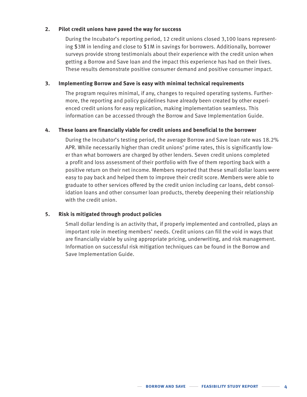#### **2. Pilot credit unions have paved the way for success**

During the Incubator's reporting period, 12 credit unions closed 3,100 loans representing \$3M in lending and close to \$1M in savings for borrowers. Additionally, borrower surveys provide strong testimonials about their experience with the credit union when getting a Borrow and Save loan and the impact this experience has had on their lives. These results demonstrate positive consumer demand and positive consumer impact.

#### **3. Implementing Borrow and Save is easy with minimal technical requirements**

The program requires minimal, if any, changes to required operating systems. Furthermore, the reporting and policy guidelines have already been created by other experienced credit unions for easy replication, making implementation seamless. This information can be accessed through the Borrow and Save Implementation Guide.

#### **4. These loans are financially viable for credit unions and beneficial to the borrower**

During the Incubator's testing period, the average Borrow and Save loan rate was 18.2% APR. While necessarily higher than credit unions' prime rates, this is significantly lower than what borrowers are charged by other lenders. Seven credit unions completed a profit and loss assessment of their portfolio with five of them reporting back with a positive return on their net income. Members reported that these small dollar loans were easy to pay back and helped them to improve their credit score. Members were able to graduate to other services offered by the credit union including car loans, debt consolidation loans and other consumer loan products, thereby deepening their relationship with the credit union.

#### **5. Risk is mitigated through product policies**

Small dollar lending is an activity that, if properly implemented and controlled, plays an important role in meeting members' needs. Credit unions can fill the void in ways that are financially viable by using appropriate pricing, underwriting, and risk management. Information on successful risk mitigation techniques can be found in the Borrow and Save Implementation Guide.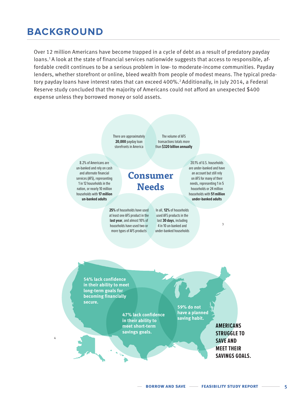## **BACKGROUND**

Over 12 million Americans have become trapped in a cycle of debt as a result of predatory payday loans.<sup>1</sup> A look at the state of financial services nationwide suggests that access to responsible, affordable credit continues to be a serious problem in low- to moderate-income communities. Payday lenders, whether storefront or online, bleed wealth from people of modest means. The typical predatory payday loans have interest rates that can exceed 400%.<sup>2</sup> Additionally, in July 2014, a Federal Reserve study concluded that the majority of Americans could not afford an unexpected \$400 expense unless they borrowed money or sold assets.

> There are approximately **20,000** payday loan storefronts in America

The volume of AFS transactions totals more than **\$320 billion annually**

used AFS products in the last **30 days**, including 4 in 10 un-banked and under-banked households

8.2% of Americans are un-banked and rely on cash and alternate financial services (AFS), representing 1 in 12 households in the nation, or nearly 10 million households with **17 million un-banked adults**

## **Consumer Needs**

**25%** of households have used at least one AFS product in the **last year**, and almost 10% of households have used two or more types of AFS products

an account but still rely on AFS for many of their needs, representing 1 in 5 households or 24 million households with **51 million under-banked adults** In all, **12%** of households

3

20.1% of U.S. households are under-banked and have

**54% lack confidence in their ability to meet long-term goals for becoming financially secure.** 

4

**saving habit. 47% lack confidence in their ability to meet short-term savings goals.**

**59% do not have a planned** 

> **AMERICANS STRUGGLE TO SAVE AND MEET THEIR SAVINGS GOALS.**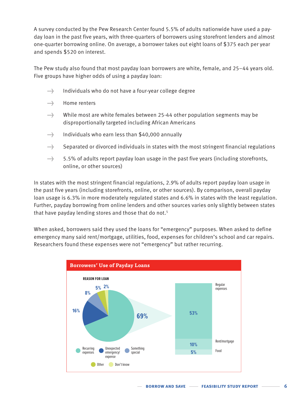A survey conducted by the Pew Research Center found 5.5% of adults nationwide have used a payday loan in the past five years, with three-quarters of borrowers using storefront lenders and almost one-quarter borrowing online. On average, a borrower takes out eight loans of \$375 each per year and spends \$520 on interest.

The Pew study also found that most payday loan borrowers are white, female, and 25–44 years old. Five groups have higher odds of using a payday loan:

- → Individuals who do not have a four-year college degree
- →→→→→→→→ Home renters
- $\rightarrow$  While most are white females between 25-44 other population segments may be disproportionally targeted including African Americans
- → Individuals who earn less than \$40,000 annually
- $\rightarrow$  Separated or divorced individuals in states with the most stringent financial regulations
- $\rightarrow$  5.5% of adults report payday loan usage in the past five years (including storefronts, online, or other sources)

In states with the most stringent financial regulations, 2.9% of adults report payday loan usage in the past five years (including storefronts, online, or other sources). By comparison, overall payday loan usage is 6.3% in more moderately regulated states and 6.6% in states with the least regulation. Further, payday borrowing from online lenders and other sources varies only slightly between states that have payday lending stores and those that do not.<sup>5</sup>

When asked, borrowers said they used the loans for "emergency" purposes. When asked to define emergency many said rent/mortgage, utilities, food, expenses for children's school and car repairs. Researchers found these expenses were not "emergency" but rather recurring.

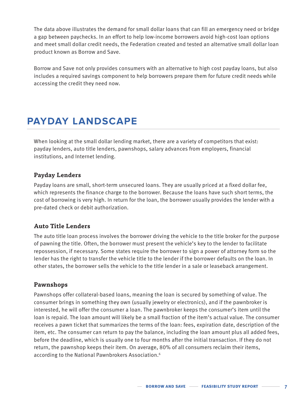The data above illustrates the demand for small dollar loans that can fill an emergency need or bridge a gap between paychecks. In an effort to help low-income borrowers avoid high-cost loan options and meet small dollar credit needs, the Federation created and tested an alternative small dollar loan product known as Borrow and Save.

Borrow and Save not only provides consumers with an alternative to high cost payday loans, but also includes a required savings component to help borrowers prepare them for future credit needs while accessing the credit they need now.

## **PAYDAY LANDSCAPE**

When looking at the small dollar lending market, there are a variety of competitors that exist: payday lenders, auto title lenders, pawnshops, salary advances from employers, financial institutions, and Internet lending.

### **Payday Lenders**

Payday loans are small, short-term unsecured loans. They are usually priced at a fixed dollar fee, which represents the finance charge to the borrower. Because the loans have such short terms, the cost of borrowing is very high. In return for the loan, the borrower usually provides the lender with a pre-dated check or debit authorization.

## **Auto Title Lenders**

The auto title loan process involves the borrower driving the vehicle to the title broker for the purpose of pawning the title. Often, the borrower must present the vehicle's key to the lender to facilitate repossession, if necessary. Some states require the borrower to sign a power of attorney form so the lender has the right to transfer the vehicle title to the lender if the borrower defaults on the loan. In other states, the borrower sells the vehicle to the title lender in a sale or leaseback arrangement.

### **Pawnshops**

Pawnshops offer collateral-based loans, meaning the loan is secured by something of value. The consumer brings in something they own (usually jewelry or electronics), and if the pawnbroker is interested, he will offer the consumer a loan. The pawnbroker keeps the consumer's item until the loan is repaid. The loan amount will likely be a small fraction of the item's actual value. The consumer receives a pawn ticket that summarizes the terms of the loan: fees, expiration date, description of the item, etc. The consumer can return to pay the balance, including the loan amount plus all added fees, before the deadline, which is usually one to four months after the initial transaction. If they do not return, the pawnshop keeps their item. On average, 80% of all consumers reclaim their items, according to the National Pawnbrokers Association.<sup>6</sup>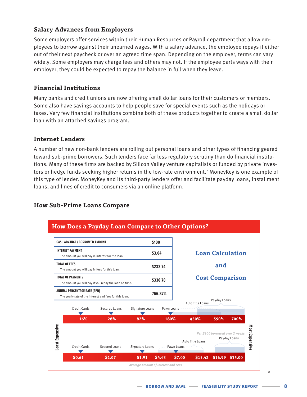## **Salary Advances from Employers**

Some employers offer services within their Human Resources or Payroll department that allow employees to borrow against their unearned wages. With a salary advance, the employee repays it either out of their next paycheck or over an agreed time span. Depending on the employer, terms can vary widely. Some employers may charge fees and others may not. If the employee parts ways with their employer, they could be expected to repay the balance in full when they leave.

## **Financial Institutions**

Many banks and credit unions are now offering small dollar loans for their customers or members. Some also have savings accounts to help people save for special events such as the holidays or taxes. Very few financial institutions combine both of these products together to create a small dollar loan with an attached savings program.

## **Internet Lenders**

A number of new non-bank lenders are rolling out personal loans and other types of financing geared toward sub-prime borrowers. Such lenders face far less regulatory scrutiny than do financial institutions. Many of these firms are backed by Silicon Valley venture capitalists or funded by private investors or hedge funds seeking higher returns in the low-rate environment.7 MoneyKey is one example of this type of lender. MoneyKey and its third-party lenders offer and facilitate payday loans, installment loans, and lines of credit to consumers via an online platform.

## **How Sub-Prime Loans Compare**

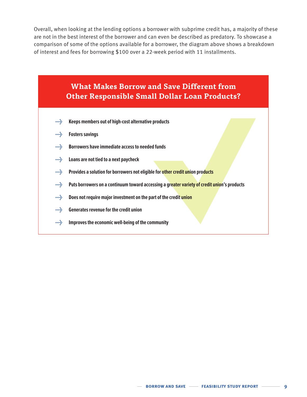Overall, when looking at the lending options a borrower with subprime credit has, a majority of these are not in the best interest of the borrower and can even be described as predatory. To showcase a comparison of some of the options available for a borrower, the diagram above shows a breakdown of interest and fees for borrowing \$100 over a 22-week period with 11 installments.

## **What Makes Borrow and Save Different from Other Responsible Small Dollar Loan Products?**

- **•••**  $\frac{1}{2}$  **Keeps members out of high-cost alternative products**
- **→ Fosters savings**
- **→ Borrowers have immediate access to needed funds**
- **→ Loans are not tied to a next paycheck**
- **••• Provides a solution for borrowers not eligible for other credit union products**
- **→ Puts borrowers on a continuum toward accessing a greater variety of credit union's products**
- **→ Does not require major investment on the part of the credit union**
- **•••** Generates revenue for the credit union
- **••• Improves the economic well-being of the community**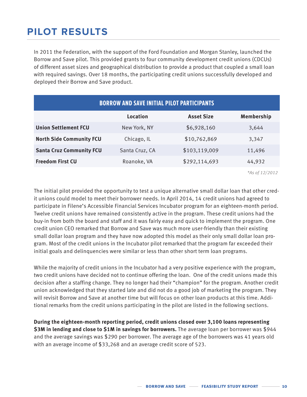## **PILOT RESULTS**

In 2011 the Federation, with the support of the Ford Foundation and Morgan Stanley, launched the Borrow and Save pilot. This provided grants to four community development credit unions (CDCUs) of different asset sizes and geographical distribution to provide a product that coupled a small loan with required savings. Over 18 months, the participating credit unions successfully developed and deployed their Borrow and Save product.

| <b>BORROW AND SAVE INITIAL PILOT PARTICIPANTS</b> |                |                   |                   |  |
|---------------------------------------------------|----------------|-------------------|-------------------|--|
|                                                   | Location       | <b>Asset Size</b> | <b>Membership</b> |  |
| <b>Union Settlement FCU</b>                       | New York, NY   | \$6,928,160       | 3,644             |  |
| <b>North Side Community FCU</b>                   | Chicago, IL    | \$10,762,869      | 3,347             |  |
| <b>Santa Cruz Community FCU</b>                   | Santa Cruz, CA | \$103,119,009     | 11,496            |  |
| <b>Freedom First CU</b>                           | Roanoke, VA    | \$292,114,693     | 44,932            |  |
|                                                   |                |                   |                   |  |

*\*As of 12/2012* 

The initial pilot provided the opportunity to test a unique alternative small dollar loan that other credit unions could model to meet their borrower needs. In April 2014, 14 credit unions had agreed to participate in Filene's Accessible Financial Services Incubator program for an eighteen-month period. Twelve credit unions have remained consistently active in the program. These credit unions had the buy-in from both the board and staff and it was fairly easy and quick to implement the program. One credit union CEO remarked that Borrow and Save was much more user-friendly than their existing small dollar loan program and they have now adopted this model as their only small dollar loan program. Most of the credit unions in the Incubator pilot remarked that the program far exceeded their initial goals and delinquencies were similar or less than other short term loan programs.

While the majority of credit unions in the Incubator had a very positive experience with the program, two credit unions have decided not to continue offering the loan. One of the credit unions made this decision after a staffing change. They no longer had their "champion" for the program. Another credit union acknowledged that they started late and did not do a good job of marketing the program. They will revisit Borrow and Save at another time but will focus on other loan products at this time. Additional remarks from the credit unions participating in the pilot are listed in the following sections.

**During the eighteen-month reporting period, credit unions closed over 3,100 loans representing \$3M in lending and close to \$1M in savings for borrowers.** The average loan per borrower was \$944 and the average savings was \$290 per borrower. The average age of the borrowers was 41 years old with an average income of \$33,268 and an average credit score of 523.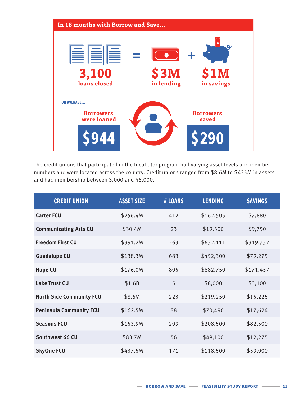

The credit unions that participated in the Incubator program had varying asset levels and member numbers and were located across the country. Credit unions ranged from \$8.6M to \$435M in assets and had membership between 3,000 and 46,000.

| <b>CREDIT UNION</b>             | <b>ASSET SIZE</b> | # LOANS | <b>LENDING</b> | <b>SAVINGS</b> |
|---------------------------------|-------------------|---------|----------------|----------------|
| <b>Carter FCU</b>               | \$256.4M          | 412     | \$162,505      | \$7,880        |
| <b>Communicating Arts CU</b>    | \$30.4M           | 23      | \$19,500       | \$9,750        |
| <b>Freedom First CU</b>         | \$391.2M          | 263     | \$632,111      | \$319,737      |
| <b>Guadalupe CU</b>             | \$138.3M          | 683     | \$452,300      | \$79,275       |
| <b>Hope CU</b>                  | \$176.0M          | 805     | \$682,750      | \$171,457      |
| <b>Lake Trust CU</b>            | \$1.6B            | 5       | \$8,000        | \$3,100        |
| <b>North Side Community FCU</b> | \$8.6M            | 223     | \$219,250      | \$15,225       |
| <b>Peninsula Community FCU</b>  | \$162.5M          | 88      | \$70,496       | \$17,624       |
| <b>Seasons FCU</b>              | \$153.9M          | 209     | \$208,500      | \$82,500       |
| Southwest 66 CU                 | \$83.7M           | 56      | \$49,100       | \$12,275       |
| <b>SkyOne FCU</b>               | \$437.5M          | 171     | \$118,500      | \$59,000       |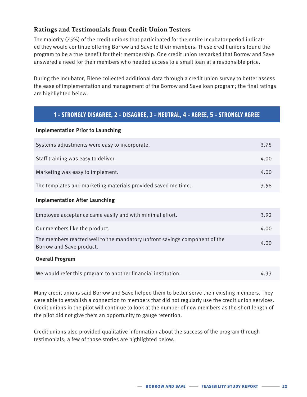## **Ratings and Testimonials from Credit Union Testers**

The majority (75%) of the credit unions that participated for the entire Incubator period indicated they would continue offering Borrow and Save to their members. These credit unions found the program to be a true benefit for their membership. One credit union remarked that Borrow and Save answered a need for their members who needed access to a small loan at a responsible price.

During the Incubator, Filene collected additional data through a credit union survey to better assess the ease of implementation and management of the Borrow and Save loan program; the final ratings are highlighted below.

## **1 = STRONGLY DISAGREE, 2 = DISAGREE, 3 = NEUTRAL, 4 = AGREE, 5 = STRONGLY AGREE**

#### **Implementation Prior to Launching**

| Systems adjustments were easy to incorporate.                                                          | 3.75 |
|--------------------------------------------------------------------------------------------------------|------|
| Staff training was easy to deliver.                                                                    | 4.00 |
| Marketing was easy to implement.                                                                       | 4.00 |
| The templates and marketing materials provided saved me time.                                          | 3.58 |
| <b>Implementation After Launching</b>                                                                  |      |
| Employee acceptance came easily and with minimal effort.                                               | 3.92 |
| Our members like the product.                                                                          | 4.00 |
| The members reacted well to the mandatory upfront savings component of the<br>Borrow and Save product. | 4.00 |
| <b>Overall Program</b>                                                                                 |      |
| We would refer this program to another financial institution.                                          | 4.33 |

Many credit unions said Borrow and Save helped them to better serve their existing members. They were able to establish a connection to members that did not regularly use the credit union services. Credit unions in the pilot will continue to look at the number of new members as the short length of the pilot did not give them an opportunity to gauge retention.

Credit unions also provided qualitative information about the success of the program through testimonials; a few of those stories are highlighted below.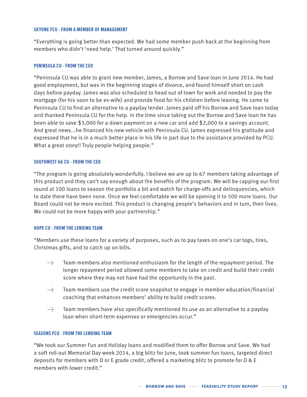#### **SKYONE FCU - FROM A MEMBER OF MANAGEMENT**

"Everything is going better than expected. We had some member push back at the beginning from members who didn't 'need help.' That turned around quickly."

#### **PENINSULA CU - FROM THE CEO**

"Peninsula CU was able to grant new member, James, a Borrow and Save loan in June 2014. He had good employment, but was in the beginning stages of divorce, and found himself short on cash days before payday. James was also scheduled to head out of town for work and needed to pay the mortgage (for his soon to be ex-wife) and provide food for his children before leaving. He came to Peninsula CU to find an alternative to a payday lender. James paid off his Borrow and Save loan today and thanked Peninsula CU for the help. In the time since taking out the Borrow and Save loan he has been able to save \$3,000 for a down payment on a new car and add \$2,000 to a savings account. And great news...he financed his new vehicle with Peninsula CU. James expressed his gratitude and expressed that he is in a much better place in his life in part due to the assistance provided by PCU. What a great story!! Truly people helping people."

#### **SOUTHWEST 66 CU - FROM THE CEO**

"The program is going absolutely wonderfully. I believe we are up to 67 members taking advantage of this product and they can't say enough about the benefits of the program. We will be capping our first round at 100 loans to season the portfolio a bit and watch for charge-offs and delinquencies, which to date there have been none. Once we feel comfortable we will be opening it to 500 more loans. Our Board could not be more excited. This product is changing people's behaviors and in turn, their lives. We could not be more happy with your partnership."

#### **HOPE CU - FROM THE LENDING TEAM**

"Members use these loans for a variety of purposes, such as to pay taxes on one's car tags, tires, Christmas gifts, and to catch up on bills.

- → Team members also mentioned enthusiasm for the length of the repayment period. The longer repayment period allowed some members to take on credit and build their credit score where they may not have had the opportunity in the past.
- → Team members use the credit score snapshot to engage in member education/financial coaching that enhances members' ability to build credit scores.
- → Team members have also specifically mentioned its use as an alternative to a payday loan when short-term expenses or emergencies occur."

#### **SEASONS FCU - FROM THE LENDING TEAM**

"We took our Summer Fun and Holiday loans and modified them to offer Borrow and Save. We had a soft roll-out Memorial Day week 2014, a big blitz for June, took summer fun loans, targeted direct deposits for members with D or E grade credit, offered a marketing blitz to promote for D & E members with lower credit."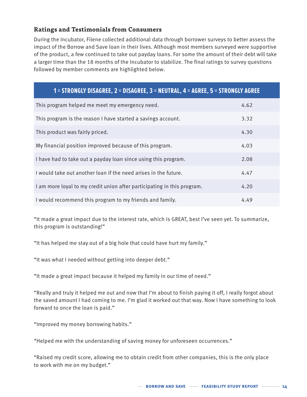## **Ratings and Testimonials from Consumers**

During the Incubator, Filene collected additional data through borrower surveys to better assess the impact of the Borrow and Save loan in their lives. Although most members surveyed were supportive of the product, a few continued to take out payday loans. For some the amount of their debt will take a larger time than the 18 months of the Incubator to stabilize. The final ratings to survey questions followed by member comments are highlighted below.

## **1 = STRONGLY DISAGREE, 2 = DISAGREE, 3 = NEUTRAL, 4 = AGREE, 5 = STRONGLY AGREE**

| This program helped me meet my emergency need.                          | 4.62 |
|-------------------------------------------------------------------------|------|
| This program is the reason I have started a savings account.            | 3.32 |
| This product was fairly priced.                                         | 4.30 |
| My financial position improved because of this program.                 | 4.03 |
| I have had to take out a payday loan since using this program.          | 2.08 |
| I would take out another loan if the need arises in the future.         | 4.47 |
| I am more loyal to my credit union after participating in this program. | 4.20 |
| I would recommend this program to my friends and family.                | 4.49 |

"It made a great impact due to the interest rate, which is GREAT, best I've seen yet. To summarize, this program is outstanding!"

"It has helped me stay out of a big hole that could have hurt my family."

"It was what I needed without getting into deeper debt."

"It made a great impact because it helped my family in our time of need."

"Really and truly it helped me out and now that I'm about to finish paying it off, I really forgot about the saved amount I had coming to me. I'm glad it worked out that way. Now I have something to look forward to once the loan is paid."

"Improved my money borrowing habits."

"Helped me with the understanding of saving money for unforeseen occurrences."

"Raised my credit score, allowing me to obtain credit from other companies, this is the only place to work with me on my budget."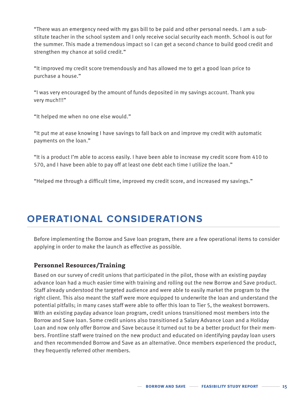"There was an emergency need with my gas bill to be paid and other personal needs. I am a substitute teacher in the school system and I only receive social security each month. School is out for the summer. This made a tremendous impact so I can get a second chance to build good credit and strengthen my chance at solid credit."

"It improved my credit score tremendously and has allowed me to get a good loan price to purchase a house."

"I was very encouraged by the amount of funds deposited in my savings account. Thank you very much!!!"

"It helped me when no one else would."

"It put me at ease knowing I have savings to fall back on and improve my credit with automatic payments on the loan."

"It is a product I'm able to access easily. I have been able to increase my credit score from 410 to 570, and I have been able to pay off at least one debt each time I utilize the loan."

"Helped me through a difficult time, improved my credit score, and increased my savings."

## **OPERATIONAL CONSIDERATIONS**

Before implementing the Borrow and Save loan program, there are a few operational items to consider applying in order to make the launch as effective as possible.

#### **Personnel Resources/Training**

Based on our survey of credit unions that participated in the pilot, those with an existing payday advance loan had a much easier time with training and rolling out the new Borrow and Save product. Staff already understood the targeted audience and were able to easily market the program to the right client. This also meant the staff were more equipped to underwrite the loan and understand the potential pitfalls; in many cases staff were able to offer this loan to Tier 5, the weakest borrowers. With an existing payday advance loan program, credit unions transitioned most members into the Borrow and Save loan. Some credit unions also transitioned a Salary Advance Loan and a Holiday Loan and now only offer Borrow and Save because it turned out to be a better product for their members. Frontline staff were trained on the new product and educated on identifying payday loan users and then recommended Borrow and Save as an alternative. Once members experienced the product, they frequently referred other members.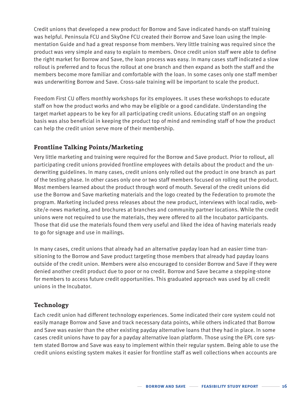Credit unions that developed a new product for Borrow and Save indicated hands-on staff training was helpful. Peninsula FCU and SkyOne FCU created their Borrow and Save loan using the Implementation Guide and had a great response from members. Very little training was required since the product was very simple and easy to explain to members. Once credit union staff were able to define the right market for Borrow and Save, the loan process was easy. In many cases staff indicated a slow rollout is preferred and to focus the rollout at one branch and then expand as both the staff and the members become more familiar and comfortable with the loan. In some cases only one staff member was underwriting Borrow and Save. Cross-sale training will be important to scale the product.

Freedom First CU offers monthly workshops for its employees. It uses these workshops to educate staff on how the product works and who may be eligible or a good candidate. Understanding the target market appears to be key for all participating credit unions. Educating staff on an ongoing basis was also beneficial in keeping the product top of mind and reminding staff of how the product can help the credit union serve more of their membership.

## **Frontline Talking Points/Marketing**

Very little marketing and training were required for the Borrow and Save product. Prior to rollout, all participating credit unions provided frontline employees with details about the product and the underwriting guidelines. In many cases, credit unions only rolled out the product in one branch as part of the testing phase. In other cases only one or two staff members focused on rolling out the product. Most members learned about the product through word of mouth. Several of the credit unions did use the Borrow and Save marketing materials and the logo created by the Federation to promote the program. Marketing included press releases about the new product, interviews with local radio, website/e-news marketing, and brochures at branches and community partner locations. While the credit unions were not required to use the materials, they were offered to all the Incubator participants. Those that did use the materials found them very useful and liked the idea of having materials ready to go for signage and use in mailings.

In many cases, credit unions that already had an alternative payday loan had an easier time transitioning to the Borrow and Save product targeting those members that already had payday loans outside of the credit union. Members were also encouraged to consider Borrow and Save if they were denied another credit product due to poor or no credit. Borrow and Save became a stepping-stone for members to access future credit opportunities. This graduated approach was used by all credit unions in the Incubator.

### **Technology**

Each credit union had different technology experiences. Some indicated their core system could not easily manage Borrow and Save and track necessary data points, while others indicated that Borrow and Save was easier than the other existing payday alternative loans that they had in place. In some cases credit unions have to pay for a payday alternative loan platform. Those using the EPL core system stated Borrow and Save was easy to implement within their regular system. Being able to use the credit unions existing system makes it easier for frontline staff as well collections when accounts are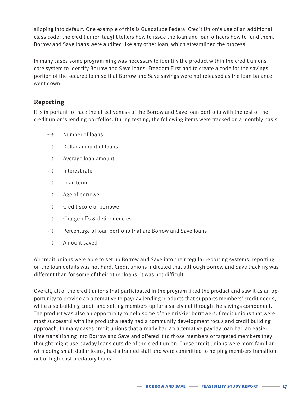slipping into default. One example of this is Guadalupe Federal Credit Union's use of an additional class code: the credit union taught tellers how to issue the loan and loan officers how to fund them. Borrow and Save loans were audited like any other loan, which streamlined the process.

In many cases some programming was necessary to identify the product within the credit unions core system to identify Borrow and Save loans. Freedom First had to create a code for the savings portion of the secured loan so that Borrow and Save savings were not released as the loan balance went down.

## **Reporting**

It is important to track the effectiveness of the Borrow and Save loan portfolio with the rest of the credit union's lending portfolios. During testing, the following items were tracked on a monthly basis:

- → Number of loans
- → Dollar amount of loans
- → Average loan amount
- → Interest rate
- →→→→→ Loan term
- → Age of borrower
- → Credit score of borrower
- → Charge-offs & delinquencies
- → Percentage of loan portfolio that are Borrow and Save loans
- → Amount saved

All credit unions were able to set up Borrow and Save into their regular reporting systems; reporting on the loan details was not hard. Credit unions indicated that although Borrow and Save tracking was different than for some of their other loans, it was not difficult.

Overall, all of the credit unions that participated in the program liked the product and saw it as an opportunity to provide an alternative to payday lending products that supports members' credit needs, while also building credit and setting members up for a safety net through the savings component. The product was also an opportunity to help some of their riskier borrowers. Credit unions that were most successful with the product already had a community development focus and credit building approach. In many cases credit unions that already had an alternative payday loan had an easier time transitioning into Borrow and Save and offered it to those members or targeted members they thought might use payday loans outside of the credit union. These credit unions were more familiar with doing small dollar loans, had a trained staff and were committed to helping members transition out of high-cost predatory loans.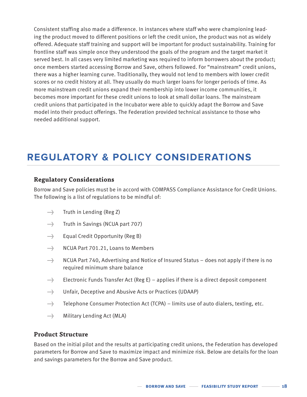Consistent staffing also made a difference. In instances where staff who were championing leading the product moved to different positions or left the credit union, the product was not as widely offered. Adequate staff training and support will be important for product sustainability. Training for frontline staff was simple once they understood the goals of the program and the target market it served best. In all cases very limited marketing was required to inform borrowers about the product; once members started accessing Borrow and Save, others followed. For "mainstream" credit unions, there was a higher learning curve. Traditionally, they would not lend to members with lower credit scores or no credit history at all. They usually do much larger loans for longer periods of time. As more mainstream credit unions expand their membership into lower income communities, it becomes more important for these credit unions to look at small dollar loans. The mainstream credit unions that participated in the Incubator were able to quickly adapt the Borrow and Save model into their product offerings. The Federation provided technical assistance to those who needed additional support.

## **REGULATORY & POLICY CONSIDERATIONS**

#### **Regulatory Considerations**

Borrow and Save policies must be in accord with COMPASS Compliance Assistance for Credit Unions. The following is a list of regulations to be mindful of:

- → Truth in Lending (Reg Z)
- →→→ Truth in Savings (NCUA part 707)
- → Equal Credit Opportunity (Reg B)
- → NCUA Part 701.21, Loans to Members
- → NCUA Part 740, Advertising and Notice of Insured Status does not apply if there is no required minimum share balance
- $\rightarrow$  Electronic Funds Transfer Act (Reg E) applies if there is a direct deposit component
- → Unfair, Deceptive and Abusive Acts or Practices (UDAAP)
- → Telephone Consumer Protection Act (TCPA) limits use of auto dialers, texting, etc.
- →→→ Military Lending Act (MLA)

#### **Product Structure**

Based on the initial pilot and the results at participating credit unions, the Federation has developed parameters for Borrow and Save to maximize impact and minimize risk. Below are details for the loan and savings parameters for the Borrow and Save product.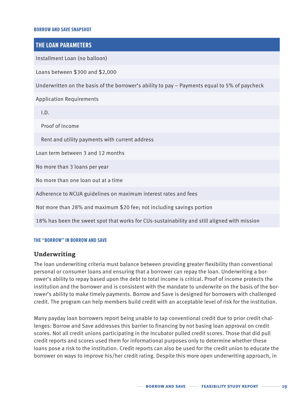#### **BORROW AND SAVE SNAPSHOT**

### **THE LOAN PARAMETERS**

Installment Loan (no balloon)

Loans between \$300 and \$2,000

Underwritten on the basis of the borrower's ability to pay – Payments equal to 5% of paycheck

Application Requirements

I.D.

Proof of Income

Rent and utility payments with current address

Loan term between 3 and 12 months

No more than 3 loans per year

No more than one loan out at a time

Adherence to NCUA guidelines on maximum interest rates and fees

Not more than 28% and maximum \$20 fee; not including savings portion

18% has been the sweet spot that works for CUs-sustainability and still aligned with mission

#### **THE "BORROW" IN BORROW AND SAVE**

#### **Underwriting**

The loan underwriting criteria must balance between providing greater flexibility than conventional personal or consumer loans and ensuring that a borrower can repay the loan. Underwriting a borrower's ability to repay based upon the debt to total income is critical. Proof of income protects the institution and the borrower and is consistent with the mandate to underwrite on the basis of the borrower's ability to make timely payments. Borrow and Save is designed for borrowers with challenged credit. The program can help members build credit with an acceptable level of risk for the institution.

Many payday loan borrowers report being unable to tap conventional credit due to prior credit challenges: Borrow and Save addresses this barrier to financing by not basing loan approval on credit scores. Not all credit unions participating in the Incubator pulled credit scores. Those that did pull credit reports and scores used them for informational purposes only to determine whether these loans pose a risk to the institution. Credit reports can also be used for the credit union to educate the borrower on ways to improve his/her credit rating. Despite this more open underwriting approach, in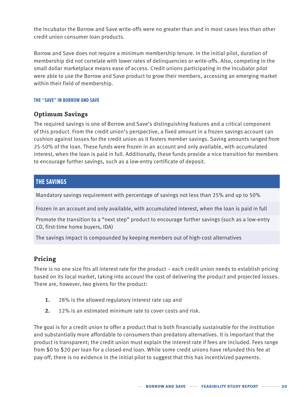the Incubator the Borrow and Save write-offs were no greater than and in most cases less than other credit union consumer loan products.

Borrow and Save does not require a minimum membership tenure. In the initial pilot, duration of membership did not correlate with lower rates of delinquencies or write-offs. Also, competing in the small dollar marketplace means ease of access. Credit unions participating in the Incubator pilot were able to use the Borrow and Save product to grow their members, accessing an emerging market within their field of membership.

#### **THE "SAVE" IN BORROW AND SAVE**

### **Optimum Savings**

The required savings is one of Borrow and Save's distinguishing features and a critical component of this product. From the credit union's perspective, a fixed amount in a frozen savings account can cushion against losses for the credit union as it fosters member savings. Saving amounts ranged from 25-50% of the loan. These funds were frozen in an account and only available, with accumulated interest, when the loan is paid in full. Additionally, these funds provide a nice transition for members to encourage further savings, such as a low-entry certificate of deposit.

### **THE SAVINGS**

Mandatory savings requirement with percentage of savings not less than 25% and up to 50%

Frozen in an account and only available, with accumulated interest, when the loan is paid in full

Promote the transition to a "next step" product to encourage further savings (such as a low-entry CD, first-time home buyers, IDA)

The savings impact is compounded by keeping members out of high-cost alternatives

### **Pricing**

There is no one size fits all interest rate for the product – each credit union needs to establish pricing based on its local market, taking into account the cost of delivering the product and projected losses. There are, however, two givens for the product:

- **1.** 28% is the allowed regulatory interest rate cap and
- **2.** 12% is an estimated minimum rate to cover costs and risk.

The goal is for a credit union to offer a product that is both financially sustainable for the institution and substantially more affordable to consumers than predatory alternatives. It is important that the product is transparent; the credit union must explain the interest rate if fees are included. Fees range from \$0 to \$20 per loan for a closed-end loan. While some credit unions have refunded this fee at pay-off, there is no evidence in the initial pilot to suggest that this has incentivized payments.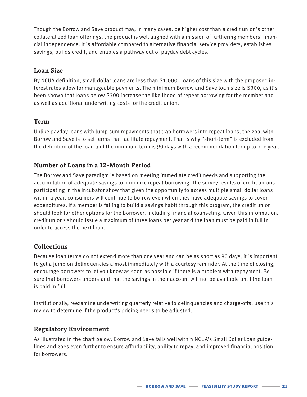Though the Borrow and Save product may, in many cases, be higher cost than a credit union's other collateralized loan offerings, the product is well aligned with a mission of furthering members' financial independence. It is affordable compared to alternative financial service providers, establishes savings, builds credit, and enables a pathway out of payday debt cycles.

## **Loan Size**

By NCUA definition, small dollar loans are less than \$1,000. Loans of this size with the proposed interest rates allow for manageable payments. The minimum Borrow and Save loan size is \$300, as it's been shown that loans below \$300 increase the likelihood of repeat borrowing for the member and as well as additional underwriting costs for the credit union.

## **Term**

Unlike payday loans with lump sum repayments that trap borrowers into repeat loans, the goal with Borrow and Save is to set terms that facilitate repayment. That is why "short-term" is excluded from the definition of the loan and the minimum term is 90 days with a recommendation for up to one year.

## **Number of Loans in a 12-Month Period**

The Borrow and Save paradigm is based on meeting immediate credit needs and supporting the accumulation of adequate savings to minimize repeat borrowing. The survey results of credit unions participating in the Incubator show that given the opportunity to access multiple small dollar loans within a year, consumers will continue to borrow even when they have adequate savings to cover expenditures. If a member is failing to build a savings habit through this program, the credit union should look for other options for the borrower, including financial counseling. Given this information, credit unions should issue a maximum of three loans per year and the loan must be paid in full in order to access the next loan.

## **Collections**

Because loan terms do not extend more than one year and can be as short as 90 days, it is important to get a jump on delinquencies almost immediately with a courtesy reminder. At the time of closing, encourage borrowers to let you know as soon as possible if there is a problem with repayment. Be sure that borrowers understand that the savings in their account will not be available until the loan is paid in full.

Institutionally, reexamine underwriting quarterly relative to delinquencies and charge-offs; use this review to determine if the product's pricing needs to be adjusted.

## **Regulatory Environment**

As illustrated in the chart below, Borrow and Save falls well within NCUA's Small Dollar Loan guidelines and goes even further to ensure affordability, ability to repay, and improved financial position for borrowers.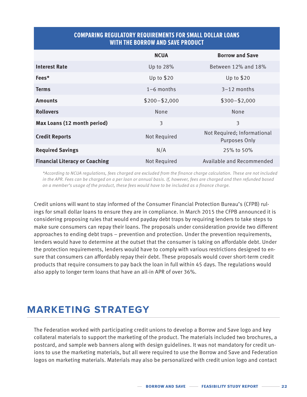## **COMPARING REGULATORY REQUIREMENTS FOR SMALL DOLLAR LOANS WITH THE BORROW AND SAVE PRODUCT**

|                                       | <b>NCUA</b>     | <b>Borrow and Save</b>                       |
|---------------------------------------|-----------------|----------------------------------------------|
| <b>Interest Rate</b>                  | Up to 28%       | Between 12% and 18%                          |
| Fees*                                 | Up to $$20$     | Up to $$20$                                  |
| <b>Terms</b>                          | $1-6$ months    | $3-12$ months                                |
| <b>Amounts</b>                        | $$200 - $2,000$ | $$300 - $2,000$                              |
| <b>Rollovers</b>                      | None            | None                                         |
| Max Loans (12 month period)           | 3               | 3                                            |
| <b>Credit Reports</b>                 | Not Required    | Not Required; Informational<br>Purposes Only |
| <b>Required Savings</b>               | N/A             | 25% to 50%                                   |
| <b>Financial Literacy or Coaching</b> | Not Required    | Available and Recommended                    |

*\*According to NCUA regulations, fees charged are excluded from the finance charge calculation. These are not included in the APR. Fees can be charged on a per loan or annual basis. If, however, fees are charged and then refunded based on a member's usage of the product, these fees would have to be included as a finance charge.*

Credit unions will want to stay informed of the Consumer Financial Protection Bureau's (CFPB) rulings for small dollar loans to ensure they are in compliance. In March 2015 the CFPB announced it is considering proposing rules that would end payday debt traps by requiring lenders to take steps to make sure consumers can repay their loans. The proposals under consideration provide two different approaches to ending debt traps – prevention and protection. Under the prevention requirements, lenders would have to determine at the outset that the consumer is taking on affordable debt. Under the protection requirements, lenders would have to comply with various restrictions designed to ensure that consumers can affordably repay their debt. These proposals would cover short-term credit products that require consumers to pay back the loan in full within 45 days. The regulations would also apply to longer term loans that have an all-in APR of over 36%.

## **MARKETING STRATEGY**

The Federation worked with participating credit unions to develop a Borrow and Save logo and key collateral materials to support the marketing of the product. The materials included two brochures, a postcard, and sample web banners along with design guidelines. It was not mandatory for credit unions to use the marketing materials, but all were required to use the Borrow and Save and Federation logos on marketing materials. Materials may also be personalized with credit union logo and contact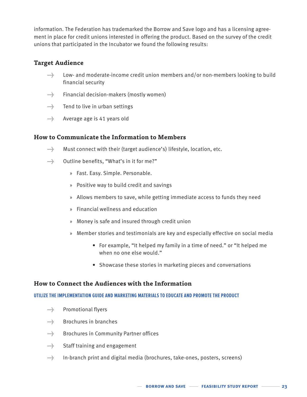information. The Federation has trademarked the Borrow and Save logo and has a licensing agreement in place for credit unions interested in offering the product. Based on the survey of the credit unions that participated in the Incubator we found the following results:

### **Target Audience**

- → Low- and moderate-income credit union members and/or non-members looking to build financial security
- → Financial decision-makers (mostly women)
- → Tend to live in urban settings
- → Average age is 41 years old

#### **How to Communicate the Information to Members**

- → Must connect with their (target audience's) lifestyle, location, etc.
- → Outline benefits, "What's in it for me?"
	- » Fast. Easy. Simple. Personable.
	- » Positive way to build credit and savings
	- » Allows members to save, while getting immediate access to funds they need
	- » Financial wellness and education
	- » Money is safe and insured through credit union
	- » Member stories and testimonials are key and especially effective on social media
		- For example, "It helped my family in a time of need." or "It helped me when no one else would."
		- Showcase these stories in marketing pieces and conversations

#### **How to Connect the Audiences with the Information**

#### **UTILIZE THE IMPLEMENTATION GUIDE AND MARKETING MATERIALS TO EDUCATE AND PROMOTE THE PRODUCT**

- → Promotional flyers
- → Brochures in branches
- → Brochures in Community Partner offices
- → Staff training and engagement
- → In-branch print and digital media (brochures, take-ones, posters, screens)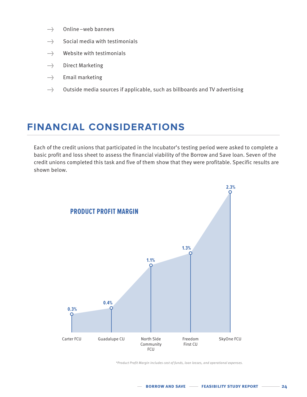- → Online web banners
- → Social media with testimonials
- → Website with testimonials
- → Direct Marketing
- → Email marketing
- → Outside media sources if applicable, such as billboards and TV advertising

## **FINANCIAL CONSIDERATIONS**

Each of the credit unions that participated in the Incubator's testing period were asked to complete a basic profit and loss sheet to assess the financial viability of the Borrow and Save loan. Seven of the credit unions completed this task and five of them show that they were profitable. Specific results are shown below.



*\*Product Profit Margin includes cost of funds, loan losses, and operational expenses.*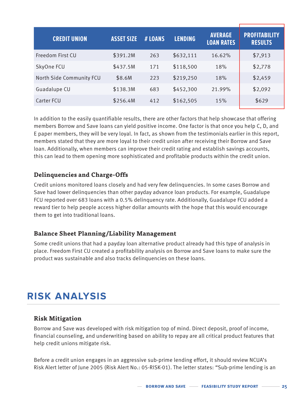| <b>CREDIT UNION</b>      | <b>ASSET SIZE</b> | # LOANS | <b>LENDING</b> | <b>AVERAGE</b><br><b>LOAN RATES</b> | <b>PROFITABILITY</b><br><b>RESULTS</b> |
|--------------------------|-------------------|---------|----------------|-------------------------------------|----------------------------------------|
| Freedom First CU         | \$391.2M          | 263     | \$632,111      | 16.62%                              | \$7,913                                |
| SkyOne FCU               | \$437.5M          | 171     | \$118,500      | 18%                                 | \$2,778                                |
| North Side Community FCU | \$8.6M            | 223     | \$219,250      | 18%                                 | \$2,459                                |
| Guadalupe CU             | \$138.3M          | 683     | \$452,300      | 21.99%                              | \$2,092                                |
| Carter FCU               | \$256.4M          | 412     | \$162,505      | 15%                                 | \$629                                  |

In addition to the easily quantifiable results, there are other factors that help showcase that offering members Borrow and Save loans can yield positive income. One factor is that once you help C, D, and E paper members, they will be very loyal. In fact, as shown from the testimonials earlier in this report, members stated that they are more loyal to their credit union after receiving their Borrow and Save loan. Additionally, when members can improve their credit rating and establish savings accounts, this can lead to them opening more sophisticated and profitable products within the credit union.

## **Delinquencies and Charge-Offs**

Credit unions monitored loans closely and had very few delinquencies. In some cases Borrow and Save had lower delinquencies than other payday advance loan products. For example, Guadalupe FCU reported over 683 loans with a 0.5% delinquency rate. Additionally, Guadalupe FCU added a reward tier to help people access higher dollar amounts with the hope that this would encourage them to get into traditional loans.

### **Balance Sheet Planning/Liability Management**

Some credit unions that had a payday loan alternative product already had this type of analysis in place. Freedom First CU created a profitability analysis on Borrow and Save loans to make sure the product was sustainable and also tracks delinquencies on these loans.

## **RISK ANALYSIS**

### **Risk Mitigation**

Borrow and Save was developed with risk mitigation top of mind. Direct deposit, proof of income, financial counseling, and underwriting based on ability to repay are all critical product features that help credit unions mitigate risk[.](http://www.cdcu.coop/investing/investment-offerings-for-credit-unions/ )

Before a credit union engages in an aggressive sub-prime lending effort, it should review NCUA's Risk Alert letter of June 2005 (Risk Alert No.: 05-RISK-01). The letter states: "Sub-prime lending is an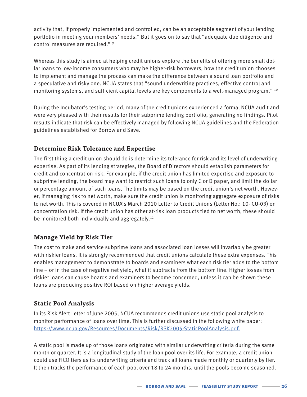activity that, if properly implemented and controlled, can be an acceptable segment of your lending portfolio in meeting your members' needs." But it goes on to say that "adequate due diligence and control measures are required." 9

Whereas this study is aimed at helping credit unions explore the benefits of offering more small dollar loans to low-income consumers who may be higher-risk borrowers, how the credit union chooses to implement and manage the process can make the difference between a sound loan portfolio and a speculative and risky one. NCUA states that "sound underwriting practices, effective control and monitoring systems, and sufficient capital levels are key components to a well-managed program." 10

During the Incubator's testing period, many of the credit unions experienced a formal NCUA audit and were very pleased with their results for their subprime lending portfolio, generating no findings. Pilot results indicate that risk can be effectively managed by following NCUA guidelines and the Federation guidelines established for Borrow and Save.

## **Determine Risk Tolerance and Expertise**

The first thing a credit union should do is determine its tolerance for risk and its level of underwriting expertise. As part of its lending strategies, the Board of Directors should establish parameters for credit and concentration risk. For example, if the credit union has limited expertise and exposure to subprime lending, the board may want to restrict such loans to only C or D paper, and limit the dollar or percentage amount of such loans. The limits may be based on the credit union's net worth. However, if managing risk to net worth, make sure the credit union is monitoring aggregate exposure of risks to net worth. This is covered in NCUA's March 2010 Letter to Credit Unions (Letter No.: 10- CU-03) on concentration risk. If the credit union has other at-risk loan products tied to net worth, these should be monitored both individually and aggregately. $11$ 

## **Manage Yield by Risk Tier**

The cost to make and service subprime loans and associated loan losses will invariably be greater with riskier loans. It is strongly recommended that credit unions calculate these extra expenses. This enables management to demonstrate to boards and examiners what each risk tier adds to the bottom line – or in the case of negative net yield, what it subtracts from the bottom line. Higher losses from riskier loans can cause boards and examiners to become concerned, unless it can be shown these loans are producing positive ROI based on higher average yields.

## **Static Pool Analysis**

In its Risk Alert Letter of June 2005, NCUA recommends credit unions use static pool analysis to monitor performance of loans over time. This is further discussed in the following white paper: [https://www.ncua.gov/Resources/Documents/Risk/RSK2005-StaticPoolAnalysis.pdf.](https://www.ncua.gov/Resources/Documents/Risk/RSK2005-StaticPoolAnalysis.pdf)

A static pool is made up of those loans originated with similar underwriting criteria during the same month or quarter. It is a longitudinal study of the loan pool over its life. For example, a credit union could use FICO tiers as its underwriting criteria and track all loans made monthly or quarterly by tier. It then tracks the performance of each pool over 18 to 24 months, until the pools become seasoned.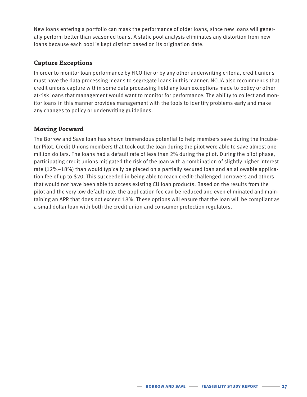New loans entering a portfolio can mask the performance of older loans, since new loans will generally perform better than seasoned loans. A static pool analysis eliminates any distortion from new loans because each pool is kept distinct based on its origination date.

## **Capture Exceptions**

In order to monitor loan performance by FICO tier or by any other underwriting criteria, credit unions must have the data processing means to segregate loans in this manner. NCUA also recommends that credit unions capture within some data processing field any loan exceptions made to policy or other at-risk loans that management would want to monitor for performance. The ability to collect and monitor loans in this manner provides management with the tools to identify problems early and make any changes to policy or underwriting guidelines.

## **Moving Forward**

The Borrow and Save loan has shown tremendous potential to help members save during the Incubator Pilot. Credit Unions members that took out the loan during the pilot were able to save almost one million dollars. The loans had a default rate of less than 2% during the pilot. During the pilot phase, participating credit unions mitigated the risk of the loan with a combination of slightly higher interest rate (12%–18%) than would typically be placed on a partially secured loan and an allowable application fee of up to \$20. This succeeded in being able to reach credit-challenged borrowers and others that would not have been able to access existing CU loan products. Based on the results from the pilot and the very low default rate, the application fee can be reduced and even eliminated and maintaining an APR that does not exceed 18%. These options will ensure that the loan will be compliant as a small dollar loan with both the credit union and consumer protection regulators.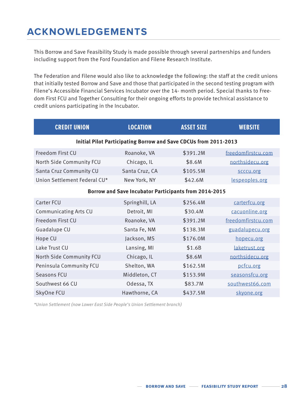## **ACKNOWLEDGEMENTS**

This Borrow and Save Feasibility Study is made possible through several partnerships and funders including support from the Ford Foundation and Filene Research Institute.

The Federation and Filene would also like to acknowledge the following: the staff at the credit unions that initially tested Borrow and Save and those that participated in the second testing program with Filene's Accessible Financial Services Incubator over the 14- month period. Special thanks to Freedom First FCU and Together Consulting for their ongoing efforts to provide technical assistance to credit unions participating in the Incubator.

| <b>CREDIT UNION</b>                                                     | <b>LOCATION</b> | <b>ASSET SIZE</b> | <b>WEBSITE</b>     |  |  |
|-------------------------------------------------------------------------|-----------------|-------------------|--------------------|--|--|
| <b>Initial Pilot Participating Borrow and Save CDCUs from 2011-2013</b> |                 |                   |                    |  |  |
| Freedom First CU                                                        | Roanoke, VA     | \$391.2M          | freedomfirstcu.com |  |  |
| North Side Community FCU                                                | Chicago, IL     | \$8.6M            | northsidecu.org    |  |  |
| Santa Cruz Community CU                                                 | Santa Cruz, CA  | \$105.5M          | scccu.org          |  |  |
| Union Settlement Federal CU*                                            | New York, NY    | \$42.6M           | lespeoples.org     |  |  |
| <b>Borrow and Save Incubator Participants from 2014-2015</b>            |                 |                   |                    |  |  |
| Carter FCU                                                              | Springhill, LA  | \$256.4M          | carterfcu.org      |  |  |
| <b>Communicating Arts CU</b>                                            | Detroit, MI     | \$30.4M           | cacuonline.org     |  |  |
| Freedom First CU                                                        | Roanoke, VA     | \$391.2M          | freedomfirstcu.com |  |  |
| Guadalupe CU                                                            | Santa Fe, NM    | \$138.3M          | guadalupecu.org    |  |  |
| Hope CU                                                                 | Jackson, MS     | \$176.0M          | hopecu.org         |  |  |
| Lake Trust CU                                                           | Lansing, MI     | \$1.6B            | laketrust.org      |  |  |
| North Side Community FCU                                                | Chicago, IL     | \$8.6M            | northsidecu.org    |  |  |
| Peninsula Community FCU                                                 | Shelton, WA     | \$162.5M          | pcfcu.org          |  |  |
| Seasons FCU                                                             | Middleton, CT   | \$153.9M          | seasonsfcu.org     |  |  |
| Southwest 66 CU                                                         | Odessa, TX      | \$83.7M           | southwest66.com    |  |  |
| SkyOne FCU                                                              | Hawthorne, CA   | \$437.5M          | skyone.org         |  |  |

*\*Union Settlement (now Lower East Side People's Union Settlement branch)*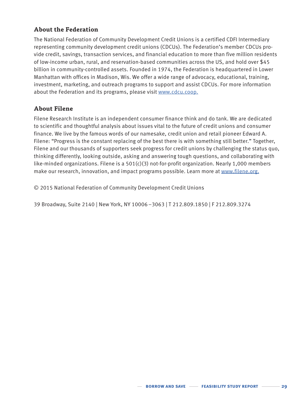## **About the Federation**

The National Federation of Community Development Credit Unions is a certified CDFI Intermediary representing community development credit unions (CDCUs). The Federation's member CDCUs provide credit, savings, transaction services, and financial education to more than five million residents of low-income urban, rural, and reservation-based communities across the US, and hold over \$45 billion in community-controlled assets. Founded in 1974, the Federation is headquartered in Lower Manhattan with offices in Madison, Wis. We offer a wide range of advocacy, educational, training, investment, marketing, and outreach programs to support and assist CDCUs. For more information about the Federation and its programs, please visit [www.cdcu.coop.](http://www.cdcu.coop)

### **About Filene**

Filene Research Institute is an independent consumer finance think and do tank. We are dedicated to scientific and thoughtful analysis about issues vital to the future of credit unions and consumer finance. We live by the famous words of our namesake, credit union and retail pioneer Edward A. Filene: "Progress is the constant replacing of the best there is with something still better." Together, Filene and our thousands of supporters seek progress for credit unions by challenging the status quo, thinking differently, looking outside, asking and answering tough questions, and collaborating with like-minded organizations. Filene is a 501(c)(3) not-for-profit organization. Nearly 1,000 members make our research, innovation, and impact programs possible. Learn more at [www.filene.org.](http://www.filene.org)

© 2015 National Federation of Community Development Credit Unions

39 Broadway, Suite 2140 | New York, NY 10006 –3063 | T 212.809.1850 | F 212.809.3274